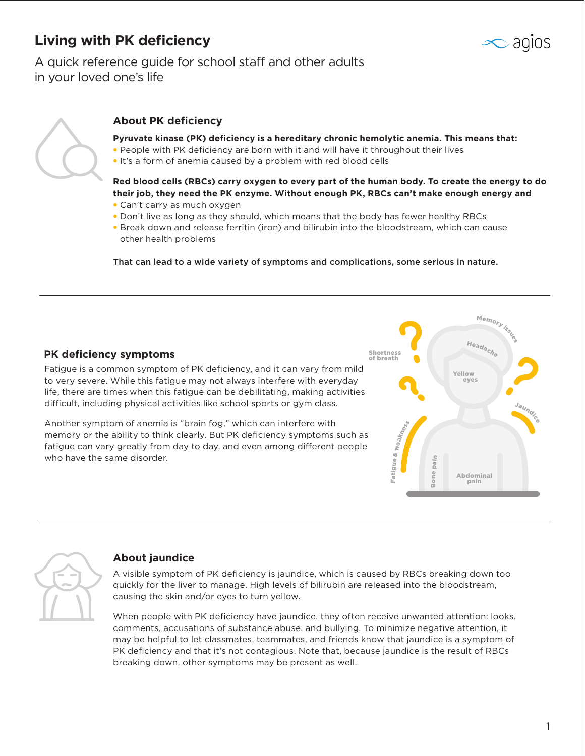## **Living with PK deficiency**

# agios

A quick reference guide for school staff and other adults in your loved one's life



### **About PK deficiency**

**Pyruvate kinase (PK) deficiency is a hereditary chronic hemolytic anemia. This means that:** 

- People with PK deficiency are born with it and will have it throughout their lives
- It's a form of anemia caused by a problem with red blood cells

**Red blood cells (RBCs) carry oxygen to every part of the human body. To create the energy to do their job, they need the PK enzyme. Without enough PK, RBCs can't make enough energy and** 

- Can't carry as much oxygen
- Don't live as long as they should, which means that the body has fewer healthy RBCs
- Break down and release ferritin (iron) and bilirubin into the bloodstream, which can cause other health problems

That can lead to a wide variety of symptoms and complications, some serious in nature.

#### **PK deficiency symptoms**

Fatigue is a common symptom of PK deficiency, and it can vary from mild to very severe. While this fatigue may not always interfere with everyday life, there are times when this fatigue can be debilitating, making activities difficult, including physical activities like school sports or gym class.

Another symptom of anemia is "brain fog," which can interfere with memory or the ability to think clearly. But PK deficiency symptoms such as fatigue can vary greatly from day to day, and even among different people who have the same disorder.





#### **About jaundice**

A visible symptom of PK deficiency is jaundice, which is caused by RBCs breaking down too quickly for the liver to manage. High levels of bilirubin are released into the bloodstream, causing the skin and/or eyes to turn yellow.

When people with PK deficiency have jaundice, they often receive unwanted attention: looks, comments, accusations of substance abuse, and bullying. To minimize negative attention, it may be helpful to let classmates, teammates, and friends know that jaundice is a symptom of PK deficiency and that it's not contagious. Note that, because jaundice is the result of RBCs breaking down, other symptoms may be present as well.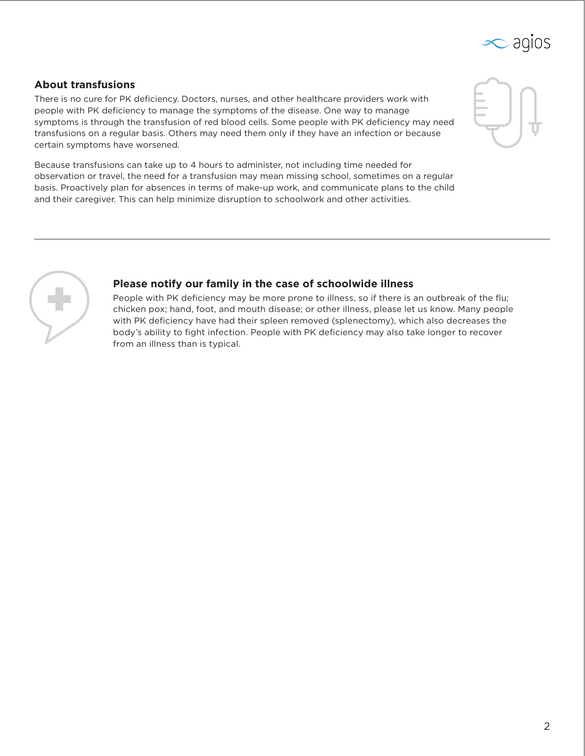

#### **About transfusions**

There is no cure for PK deficiency. Doctors, nurses, and other healthcare providers work with people with PK deficiency to manage the symptoms of the disease. One way to manage symptoms is through the transfusion of red blood cells. Some people with PK deficiency may need transfusions on a regular basis. Others may need them only if they have an infection or because certain symptoms have worsened.



Because transfusions can take up to 4 hours to administer, not including time needed for observation or travel, the need for a transfusion may mean missing school, sometimes on a regular basis. Proactively plan for absences in terms of make-up work, and communicate plans to the child and their caregiver. This can help minimize disruption to schoolwork and other activities.



### **Please notify our family in the case of schoolwide illness**

People with PK deficiency may be more prone to illness, so if there is an outbreak of the flu; chicken pox; hand, foot, and mouth disease; or other illness, please let us know. Many people with PK deficiency have had their spleen removed (splenectomy), which also decreases the body's ability to fight infection. People with PK deficiency may also take longer to recover from an illness than is typical.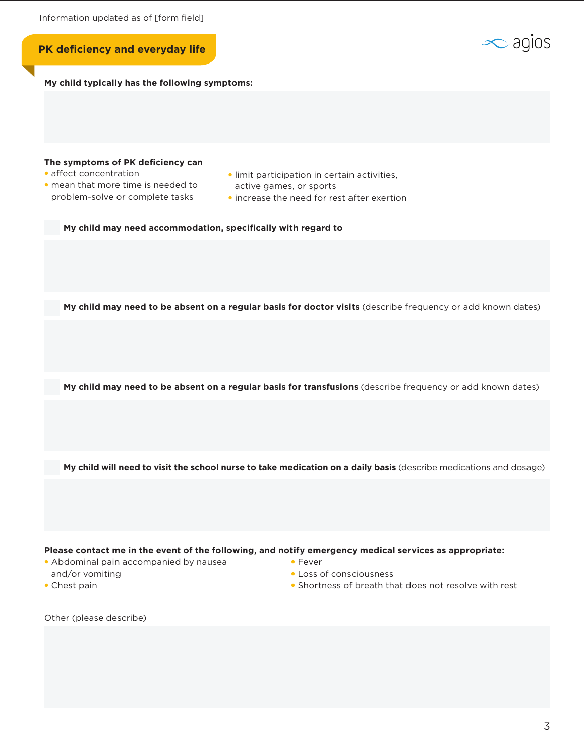



• Chest pain

- Loss of consciousness
- Shortness of breath that does not resolve with rest

Other (please describe)